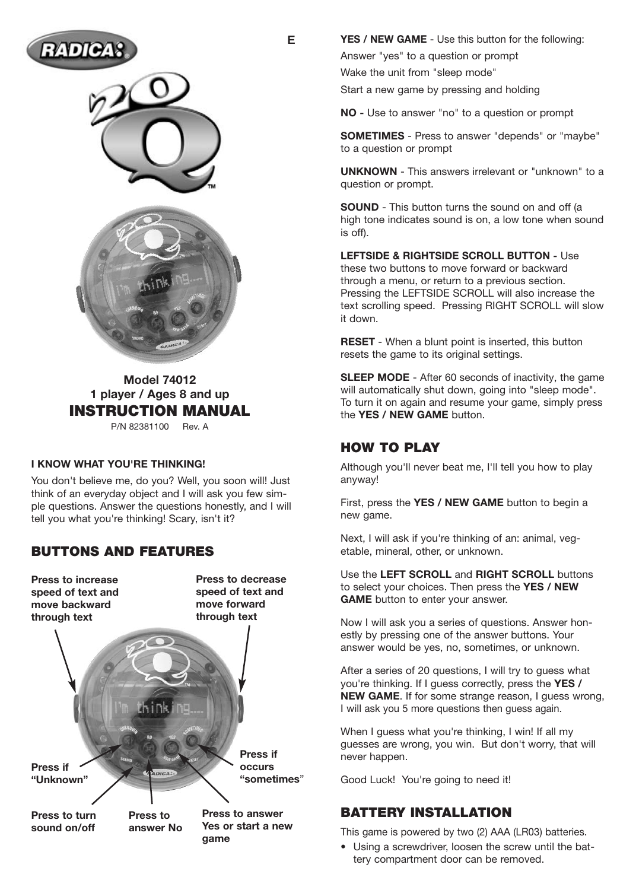





**Model 74012 1 player / Ages 8 and up INSTRUCTION MANUAL** P/N 82381100 Rev. A

#### **I KNOW WHAT YOU'RE THINKING!**

You don't believe me, do you? Well, you soon will! Just think of an everyday object and I will ask you few simple questions. Answer the questions honestly, and I will tell you what you're thinking! Scary, isn't it?

### **BUTTONS AND FEATURES**

**Press to increase speed of text and move backward through text**

**Press if**

**Press to decrease speed of text and move forward through text**

**game**



**YES / NEW GAME** - Use this button for the following:

Answer "yes" to a question or prompt

Wake the unit from "sleep mode"

Start a new game by pressing and holding

**NO -** Use to answer "no" to a question or prompt

**SOMETIMES** - Press to answer "depends" or "maybe" to a question or prompt

**UNKNOWN** - This answers irrelevant or "unknown" to a question or prompt.

**SOUND** - This button turns the sound on and off (a high tone indicates sound is on, a low tone when sound is off).

**LEFTSIDE & RIGHTSIDE SCROLL BUTTON -** Use these two buttons to move forward or backward through a menu, or return to a previous section. Pressing the LEFTSIDE SCROLL will also increase the text scrolling speed. Pressing RIGHT SCROLL will slow it down.

**RESET** - When a blunt point is inserted, this button resets the game to its original settings.

**SLEEP MODE** - After 60 seconds of inactivity, the game will automatically shut down, going into "sleep mode". To turn it on again and resume your game, simply press the **YES / NEW GAME** button.

#### **HOW TO PLAY**

Although you'll never beat me, I'll tell you how to play anyway!

First, press the **YES / NEW GAME** button to begin a new game.

Next, I will ask if you're thinking of an: animal, vegetable, mineral, other, or unknown.

Use the **LEFT SCROLL** and **RIGHT SCROLL** buttons to select your choices. Then press the **YES / NEW GAME** button to enter your answer.

Now I will ask you a series of questions. Answer honestly by pressing one of the answer buttons. Your answer would be yes, no, sometimes, or unknown.

After a series of 20 questions, I will try to guess what you're thinking. If I guess correctly, press the **YES / NEW GAME**. If for some strange reason, I guess wrong, I will ask you 5 more questions then guess again.

When I guess what you're thinking, I win! If all my guesses are wrong, you win. But don't worry, that will never happen.

Good Luck! You're going to need it!

### **BATTERY INSTALLATION**

This game is powered by two (2) AAA (LR03) batteries.

• Using a screwdriver, loosen the screw until the battery compartment door can be removed.

**E**